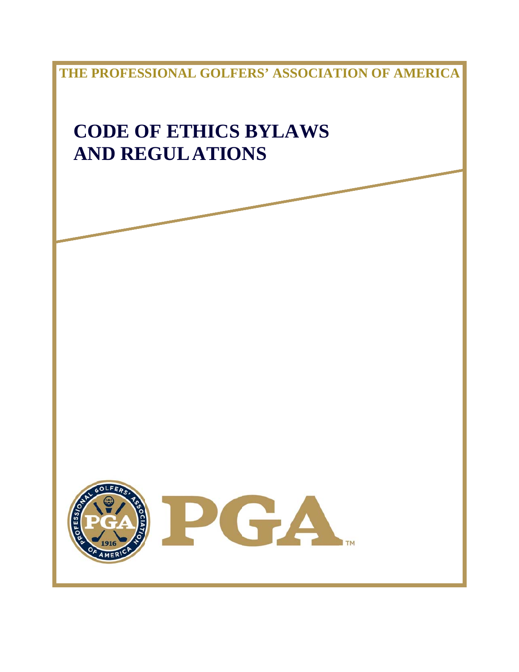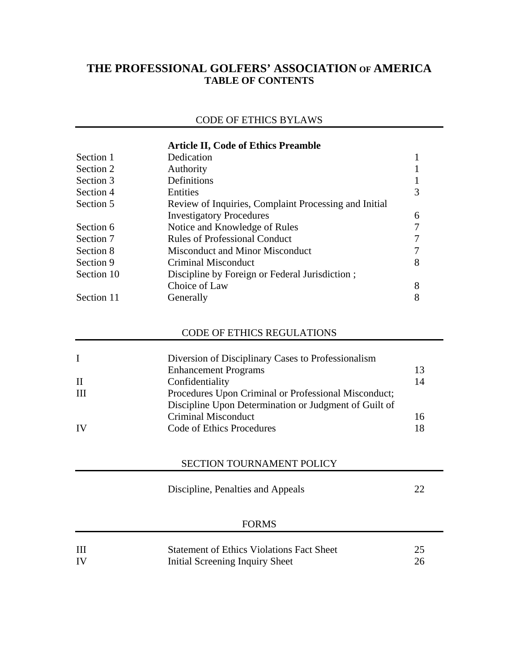# **THE PROFESSIONAL GOLFERS' ASSOCIATION OF AMERICA TABLE OF CONTENTS**

## CODE OF ETHICS BYLAWS

|            | <b>Article II, Code of Ethics Preamble</b>            |   |  |
|------------|-------------------------------------------------------|---|--|
| Section 1  | Dedication                                            |   |  |
| Section 2  | Authority                                             |   |  |
| Section 3  | Definitions                                           |   |  |
| Section 4  | Entities                                              | 3 |  |
| Section 5  | Review of Inquiries, Complaint Processing and Initial |   |  |
|            | <b>Investigatory Procedures</b>                       | 6 |  |
| Section 6  | Notice and Knowledge of Rules                         |   |  |
| Section 7  | <b>Rules of Professional Conduct</b>                  |   |  |
| Section 8  | Misconduct and Minor Misconduct                       |   |  |
| Section 9  | Criminal Misconduct                                   | 8 |  |
| Section 10 | Discipline by Foreign or Federal Jurisdiction;        |   |  |
|            | Choice of Law                                         | 8 |  |
| Section 11 | Generally                                             |   |  |

## CODE OF ETHICS REGULATIONS

| $\mathbf{I}$ | Diversion of Disciplinary Cases to Professionalism    |    |
|--------------|-------------------------------------------------------|----|
|              | <b>Enhancement Programs</b>                           | 13 |
| H            | Confidentiality                                       | 14 |
| Ш            | Procedures Upon Criminal or Professional Misconduct;  |    |
|              | Discipline Upon Determination or Judgment of Guilt of |    |
|              | Criminal Misconduct                                   | 16 |
| <b>IV</b>    | Code of Ethics Procedures                             | 18 |

## SECTION TOURNAMENT POLICY

Discipline, Penalties and Appeals 22

## FORMS

| Ш  | <b>Statement of Ethics Violations Fact Sheet</b> |  |
|----|--------------------------------------------------|--|
| IV | Initial Screening Inquiry Sheet                  |  |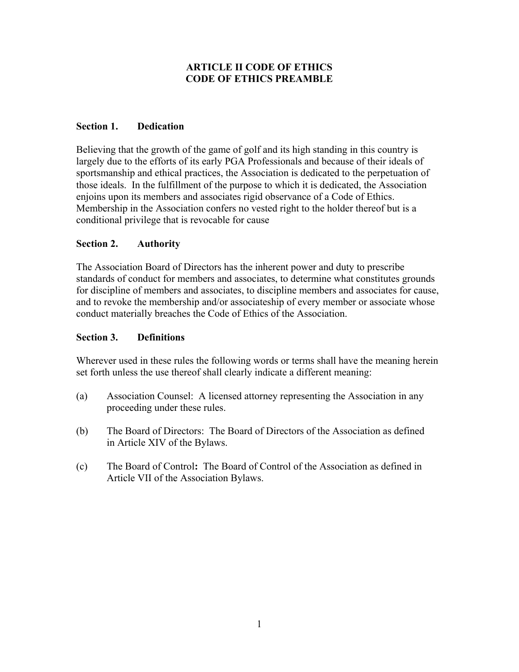## **ARTICLE II CODE OF ETHICS CODE OF ETHICS PREAMBLE**

## **Section 1. Dedication**

Believing that the growth of the game of golf and its high standing in this country is largely due to the efforts of its early PGA Professionals and because of their ideals of sportsmanship and ethical practices, the Association is dedicated to the perpetuation of those ideals. In the fulfillment of the purpose to which it is dedicated, the Association enjoins upon its members and associates rigid observance of a Code of Ethics. Membership in the Association confers no vested right to the holder thereof but is a conditional privilege that is revocable for cause

## **Section 2. Authority**

The Association Board of Directors has the inherent power and duty to prescribe standards of conduct for members and associates, to determine what constitutes grounds for discipline of members and associates, to discipline members and associates for cause, and to revoke the membership and/or associateship of every member or associate whose conduct materially breaches the Code of Ethics of the Association.

### **Section 3. Definitions**

Wherever used in these rules the following words or terms shall have the meaning herein set forth unless the use thereof shall clearly indicate a different meaning:

- (a) Association Counsel: A licensed attorney representing the Association in any proceeding under these rules.
- (b) The Board of Directors: The Board of Directors of the Association as defined in Article XIV of the Bylaws.
- (c) The Board of Control**:** The Board of Control of the Association as defined in Article VII of the Association Bylaws.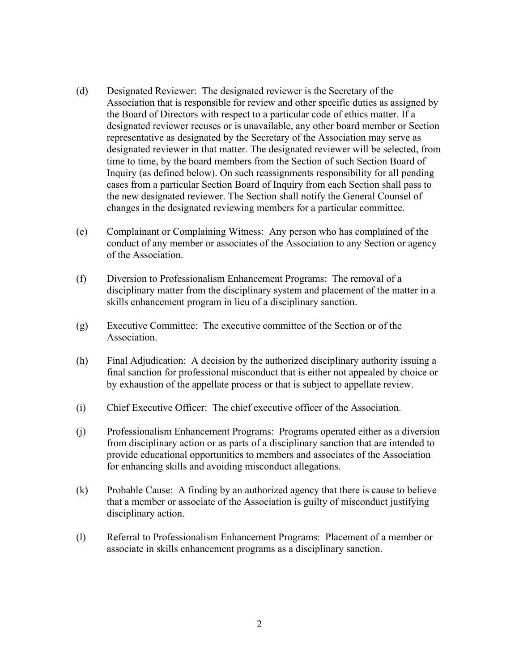- (d) Designated Reviewer: The designated reviewer is the Secretary of the Association that is responsible for review and other specific duties as assigned by the Board of Directors with respect to a particular code of ethics matter. If a designated reviewer recuses or is unavailable, any other board member or Section representative as designated by the Secretary of the Association may serve as designated reviewer in that matter. The designated reviewer will be selected, from time to time, by the board members from the Section of such Section Board of Inquiry (as defined below). On such reassignments responsibility for all pending cases from a particular Section Board of Inquiry from each Section shall pass to the new designated reviewer. The Section shall notify the General Counsel of changes in the designated reviewing members for a particular committee.
- (e) Complainant or Complaining Witness: Any person who has complained of the conduct of any member or associates of the Association to any Section or agency of the Association.
- (f) Diversion to Professionalism Enhancement Programs: The removal of a disciplinary matter from the disciplinary system and placement of the matter in a skills enhancement program in lieu of a disciplinary sanction.
- (g) Executive Committee: The executive committee of the Section or of the Association.
- (h) Final Adjudication: A decision by the authorized disciplinary authority issuing a final sanction for professional misconduct that is either not appealed by choice or by exhaustion of the appellate process or that is subject to appellate review.
- (i) Chief Executive Officer: The chief executive officer of the Association.
- (j) Professionalism Enhancement Programs: Programs operated either as a diversion from disciplinary action or as parts of a disciplinary sanction that are intended to provide educational opportunities to members and associates of the Association for enhancing skills and avoiding misconduct allegations.
- (k) Probable Cause: A finding by an authorized agency that there is cause to believe that a member or associate of the Association is guilty of misconduct justifying disciplinary action.
- (l) Referral to Professionalism Enhancement Programs: Placement of a member or associate in skills enhancement programs as a disciplinary sanction.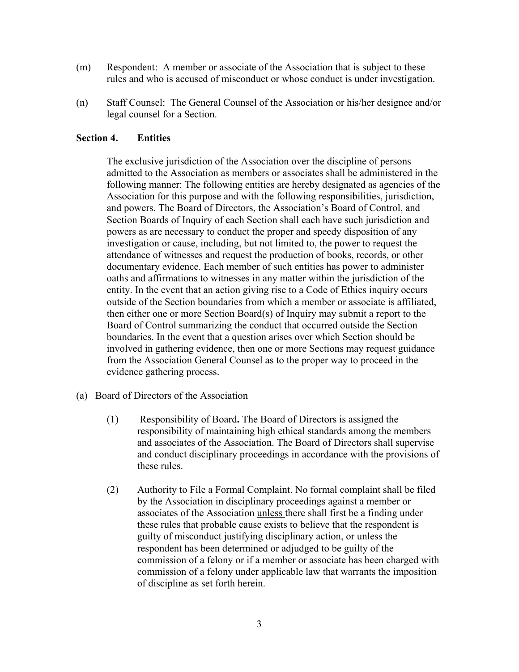- (m) Respondent: A member or associate of the Association that is subject to these rules and who is accused of misconduct or whose conduct is under investigation.
- (n) Staff Counsel: The General Counsel of the Association or his/her designee and/or legal counsel for a Section.

#### **Section 4. Entities**

The exclusive jurisdiction of the Association over the discipline of persons admitted to the Association as members or associates shall be administered in the following manner: The following entities are hereby designated as agencies of the Association for this purpose and with the following responsibilities, jurisdiction, and powers. The Board of Directors, the Association's Board of Control, and Section Boards of Inquiry of each Section shall each have such jurisdiction and powers as are necessary to conduct the proper and speedy disposition of any investigation or cause, including, but not limited to, the power to request the attendance of witnesses and request the production of books, records, or other documentary evidence. Each member of such entities has power to administer oaths and affirmations to witnesses in any matter within the jurisdiction of the entity. In the event that an action giving rise to a Code of Ethics inquiry occurs outside of the Section boundaries from which a member or associate is affiliated, then either one or more Section Board(s) of Inquiry may submit a report to the Board of Control summarizing the conduct that occurred outside the Section boundaries. In the event that a question arises over which Section should be involved in gathering evidence, then one or more Sections may request guidance from the Association General Counsel as to the proper way to proceed in the evidence gathering process.

- (a) Board of Directors of the Association
	- (1) Responsibility of Board**.** The Board of Directors is assigned the responsibility of maintaining high ethical standards among the members and associates of the Association. The Board of Directors shall supervise and conduct disciplinary proceedings in accordance with the provisions of these rules.
	- (2) Authority to File a Formal Complaint. No formal complaint shall be filed by the Association in disciplinary proceedings against a member or associates of the Association unless there shall first be a finding under these rules that probable cause exists to believe that the respondent is guilty of misconduct justifying disciplinary action, or unless the respondent has been determined or adjudged to be guilty of the commission of a felony or if a member or associate has been charged with commission of a felony under applicable law that warrants the imposition of discipline as set forth herein.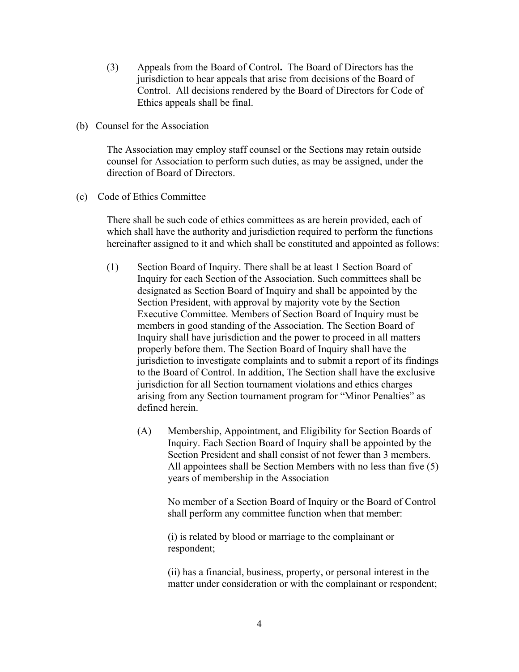- (3) Appeals from the Board of Control**.** The Board of Directors has the jurisdiction to hear appeals that arise from decisions of the Board of Control. All decisions rendered by the Board of Directors for Code of Ethics appeals shall be final.
- (b) Counsel for the Association

The Association may employ staff counsel or the Sections may retain outside counsel for Association to perform such duties, as may be assigned, under the direction of Board of Directors.

(c) Code of Ethics Committee

There shall be such code of ethics committees as are herein provided, each of which shall have the authority and jurisdiction required to perform the functions hereinafter assigned to it and which shall be constituted and appointed as follows:

- (1) Section Board of Inquiry. There shall be at least 1 Section Board of Inquiry for each Section of the Association. Such committees shall be designated as Section Board of Inquiry and shall be appointed by the Section President, with approval by majority vote by the Section Executive Committee. Members of Section Board of Inquiry must be members in good standing of the Association. The Section Board of Inquiry shall have jurisdiction and the power to proceed in all matters properly before them. The Section Board of Inquiry shall have the jurisdiction to investigate complaints and to submit a report of its findings to the Board of Control. In addition, The Section shall have the exclusive jurisdiction for all Section tournament violations and ethics charges arising from any Section tournament program for "Minor Penalties" as defined herein.
	- (A) Membership, Appointment, and Eligibility for Section Boards of Inquiry. Each Section Board of Inquiry shall be appointed by the Section President and shall consist of not fewer than 3 members. All appointees shall be Section Members with no less than five (5) years of membership in the Association

No member of a Section Board of Inquiry or the Board of Control shall perform any committee function when that member:

(i) is related by blood or marriage to the complainant or respondent;

(ii) has a financial, business, property, or personal interest in the matter under consideration or with the complainant or respondent;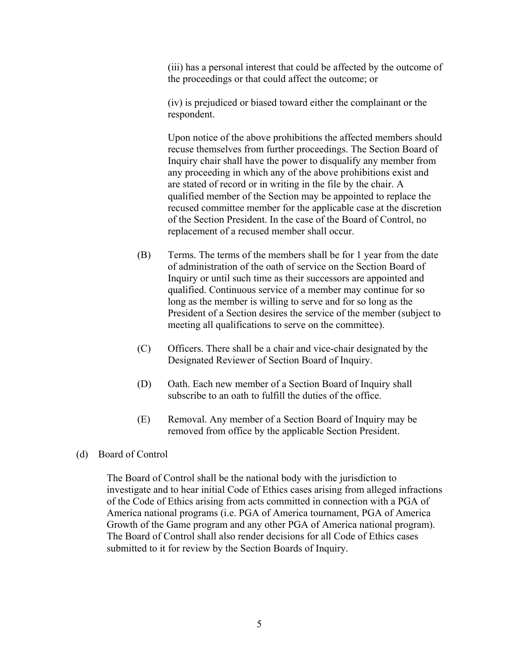(iii) has a personal interest that could be affected by the outcome of the proceedings or that could affect the outcome; or

(iv) is prejudiced or biased toward either the complainant or the respondent.

Upon notice of the above prohibitions the affected members should recuse themselves from further proceedings. The Section Board of Inquiry chair shall have the power to disqualify any member from any proceeding in which any of the above prohibitions exist and are stated of record or in writing in the file by the chair. A qualified member of the Section may be appointed to replace the recused committee member for the applicable case at the discretion of the Section President. In the case of the Board of Control, no replacement of a recused member shall occur.

- (B) Terms. The terms of the members shall be for 1 year from the date of administration of the oath of service on the Section Board of Inquiry or until such time as their successors are appointed and qualified. Continuous service of a member may continue for so long as the member is willing to serve and for so long as the President of a Section desires the service of the member (subject to meeting all qualifications to serve on the committee).
- (C) Officers. There shall be a chair and vice-chair designated by the Designated Reviewer of Section Board of Inquiry.
- (D) Oath. Each new member of a Section Board of Inquiry shall subscribe to an oath to fulfill the duties of the office.
- (E) Removal. Any member of a Section Board of Inquiry may be removed from office by the applicable Section President.
- (d) Board of Control

The Board of Control shall be the national body with the jurisdiction to investigate and to hear initial Code of Ethics cases arising from alleged infractions of the Code of Ethics arising from acts committed in connection with a PGA of America national programs (i.e. PGA of America tournament, PGA of America Growth of the Game program and any other PGA of America national program). The Board of Control shall also render decisions for all Code of Ethics cases submitted to it for review by the Section Boards of Inquiry.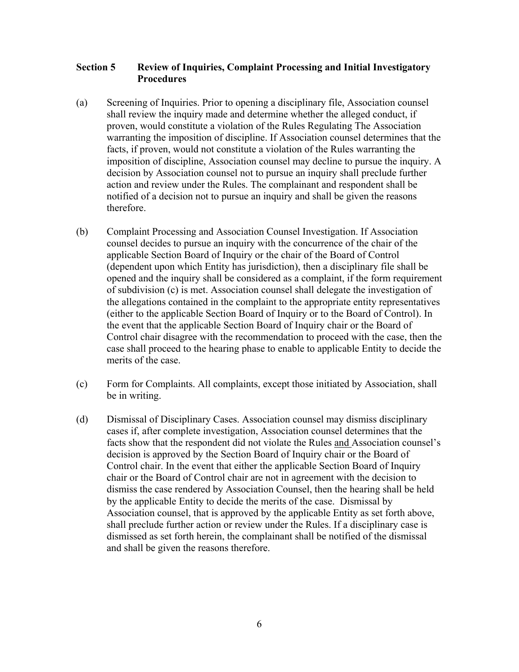## **Section 5 Review of Inquiries, Complaint Processing and Initial Investigatory Procedures**

- (a) Screening of Inquiries. Prior to opening a disciplinary file, Association counsel shall review the inquiry made and determine whether the alleged conduct, if proven, would constitute a violation of the Rules Regulating The Association warranting the imposition of discipline. If Association counsel determines that the facts, if proven, would not constitute a violation of the Rules warranting the imposition of discipline, Association counsel may decline to pursue the inquiry. A decision by Association counsel not to pursue an inquiry shall preclude further action and review under the Rules. The complainant and respondent shall be notified of a decision not to pursue an inquiry and shall be given the reasons therefore.
- (b) Complaint Processing and Association Counsel Investigation. If Association counsel decides to pursue an inquiry with the concurrence of the chair of the applicable Section Board of Inquiry or the chair of the Board of Control (dependent upon which Entity has jurisdiction), then a disciplinary file shall be opened and the inquiry shall be considered as a complaint, if the form requirement of subdivision (c) is met. Association counsel shall delegate the investigation of the allegations contained in the complaint to the appropriate entity representatives (either to the applicable Section Board of Inquiry or to the Board of Control). In the event that the applicable Section Board of Inquiry chair or the Board of Control chair disagree with the recommendation to proceed with the case, then the case shall proceed to the hearing phase to enable to applicable Entity to decide the merits of the case.
- (c) Form for Complaints. All complaints, except those initiated by Association, shall be in writing.
- (d) Dismissal of Disciplinary Cases. Association counsel may dismiss disciplinary cases if, after complete investigation, Association counsel determines that the facts show that the respondent did not violate the Rules and Association counsel's decision is approved by the Section Board of Inquiry chair or the Board of Control chair. In the event that either the applicable Section Board of Inquiry chair or the Board of Control chair are not in agreement with the decision to dismiss the case rendered by Association Counsel, then the hearing shall be held by the applicable Entity to decide the merits of the case. Dismissal by Association counsel, that is approved by the applicable Entity as set forth above, shall preclude further action or review under the Rules. If a disciplinary case is dismissed as set forth herein, the complainant shall be notified of the dismissal and shall be given the reasons therefore.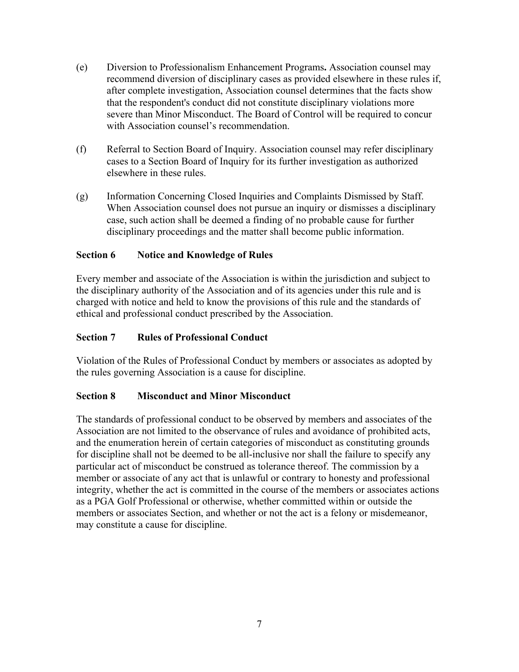- (e) Diversion to Professionalism Enhancement Programs**.** Association counsel may recommend diversion of disciplinary cases as provided elsewhere in these rules if, after complete investigation, Association counsel determines that the facts show that the respondent's conduct did not constitute disciplinary violations more severe than Minor Misconduct. The Board of Control will be required to concur with Association counsel's recommendation.
- (f) Referral to Section Board of Inquiry. Association counsel may refer disciplinary cases to a Section Board of Inquiry for its further investigation as authorized elsewhere in these rules.
- (g) Information Concerning Closed Inquiries and Complaints Dismissed by Staff. When Association counsel does not pursue an inquiry or dismisses a disciplinary case, such action shall be deemed a finding of no probable cause for further disciplinary proceedings and the matter shall become public information.

## **Section 6 Notice and Knowledge of Rules**

Every member and associate of the Association is within the jurisdiction and subject to the disciplinary authority of the Association and of its agencies under this rule and is charged with notice and held to know the provisions of this rule and the standards of ethical and professional conduct prescribed by the Association.

### **Section 7 Rules of Professional Conduct**

Violation of the Rules of Professional Conduct by members or associates as adopted by the rules governing Association is a cause for discipline.

### **Section 8 Misconduct and Minor Misconduct**

The standards of professional conduct to be observed by members and associates of the Association are not limited to the observance of rules and avoidance of prohibited acts, and the enumeration herein of certain categories of misconduct as constituting grounds for discipline shall not be deemed to be all-inclusive nor shall the failure to specify any particular act of misconduct be construed as tolerance thereof. The commission by a member or associate of any act that is unlawful or contrary to honesty and professional integrity, whether the act is committed in the course of the members or associates actions as a PGA Golf Professional or otherwise, whether committed within or outside the members or associates Section, and whether or not the act is a felony or misdemeanor, may constitute a cause for discipline.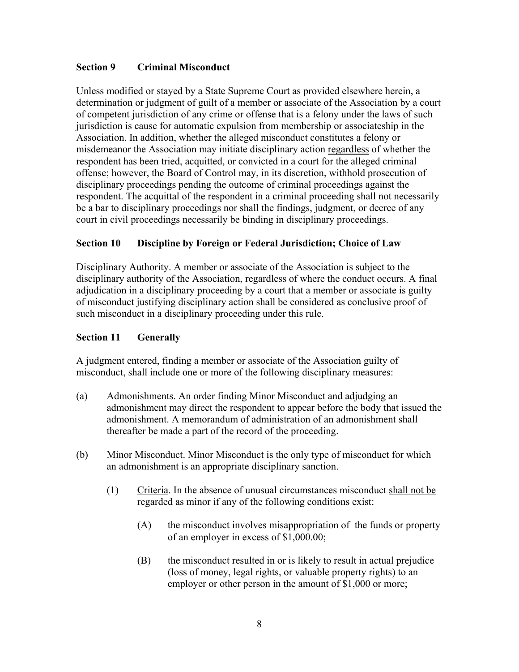## **Section 9 Criminal Misconduct**

Unless modified or stayed by a State Supreme Court as provided elsewhere herein, a determination or judgment of guilt of a member or associate of the Association by a court of competent jurisdiction of any crime or offense that is a felony under the laws of such jurisdiction is cause for automatic expulsion from membership or associateship in the Association. In addition, whether the alleged misconduct constitutes a felony or misdemeanor the Association may initiate disciplinary action regardless of whether the respondent has been tried, acquitted, or convicted in a court for the alleged criminal offense; however, the Board of Control may, in its discretion, withhold prosecution of disciplinary proceedings pending the outcome of criminal proceedings against the respondent. The acquittal of the respondent in a criminal proceeding shall not necessarily be a bar to disciplinary proceedings nor shall the findings, judgment, or decree of any court in civil proceedings necessarily be binding in disciplinary proceedings.

## **Section 10 Discipline by Foreign or Federal Jurisdiction; Choice of Law**

Disciplinary Authority. A member or associate of the Association is subject to the disciplinary authority of the Association, regardless of where the conduct occurs. A final adjudication in a disciplinary proceeding by a court that a member or associate is guilty of misconduct justifying disciplinary action shall be considered as conclusive proof of such misconduct in a disciplinary proceeding under this rule.

## **Section 11 Generally**

A judgment entered, finding a member or associate of the Association guilty of misconduct, shall include one or more of the following disciplinary measures:

- (a) Admonishments. An order finding Minor Misconduct and adjudging an admonishment may direct the respondent to appear before the body that issued the admonishment. A memorandum of administration of an admonishment shall thereafter be made a part of the record of the proceeding.
- (b) Minor Misconduct. Minor Misconduct is the only type of misconduct for which an admonishment is an appropriate disciplinary sanction.
	- (1) Criteria. In the absence of unusual circumstances misconduct shall not be regarded as minor if any of the following conditions exist:
		- (A) the misconduct involves misappropriation of the funds or property of an employer in excess of \$1,000.00;
		- (B) the misconduct resulted in or is likely to result in actual prejudice (loss of money, legal rights, or valuable property rights) to an employer or other person in the amount of \$1,000 or more;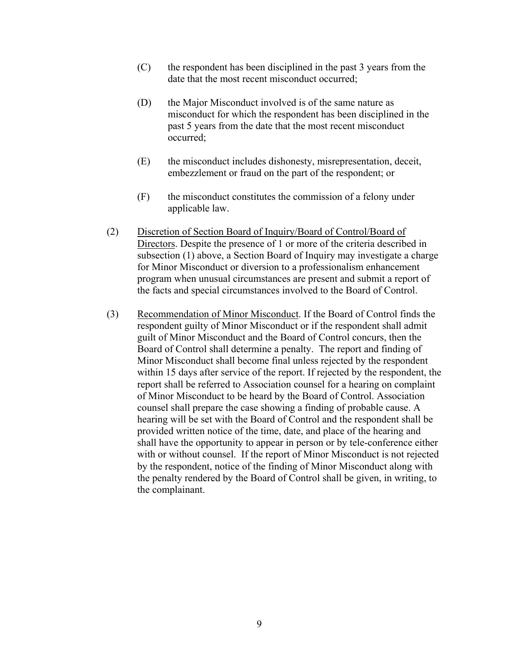- (C) the respondent has been disciplined in the past 3 years from the date that the most recent misconduct occurred;
- (D) the Major Misconduct involved is of the same nature as misconduct for which the respondent has been disciplined in the past 5 years from the date that the most recent misconduct occurred;
- (E) the misconduct includes dishonesty, misrepresentation, deceit, embezzlement or fraud on the part of the respondent; or
- (F) the misconduct constitutes the commission of a felony under applicable law.
- (2) Discretion of Section Board of Inquiry/Board of Control/Board of Directors. Despite the presence of 1 or more of the criteria described in subsection (1) above, a Section Board of Inquiry may investigate a charge for Minor Misconduct or diversion to a professionalism enhancement program when unusual circumstances are present and submit a report of the facts and special circumstances involved to the Board of Control.
- (3) Recommendation of Minor Misconduct. If the Board of Control finds the respondent guilty of Minor Misconduct or if the respondent shall admit guilt of Minor Misconduct and the Board of Control concurs, then the Board of Control shall determine a penalty. The report and finding of Minor Misconduct shall become final unless rejected by the respondent within 15 days after service of the report. If rejected by the respondent, the report shall be referred to Association counsel for a hearing on complaint of Minor Misconduct to be heard by the Board of Control. Association counsel shall prepare the case showing a finding of probable cause. A hearing will be set with the Board of Control and the respondent shall be provided written notice of the time, date, and place of the hearing and shall have the opportunity to appear in person or by tele-conference either with or without counsel. If the report of Minor Misconduct is not rejected by the respondent, notice of the finding of Minor Misconduct along with the penalty rendered by the Board of Control shall be given, in writing, to the complainant.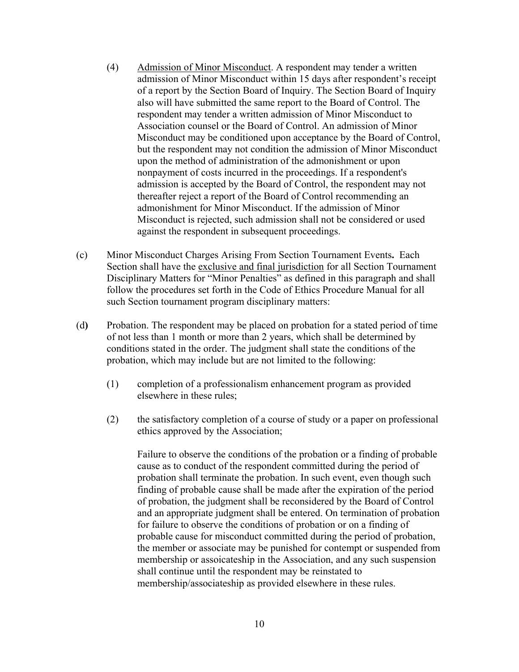- (4) Admission of Minor Misconduct. A respondent may tender a written admission of Minor Misconduct within 15 days after respondent's receipt of a report by the Section Board of Inquiry. The Section Board of Inquiry also will have submitted the same report to the Board of Control. The respondent may tender a written admission of Minor Misconduct to Association counsel or the Board of Control. An admission of Minor Misconduct may be conditioned upon acceptance by the Board of Control, but the respondent may not condition the admission of Minor Misconduct upon the method of administration of the admonishment or upon nonpayment of costs incurred in the proceedings. If a respondent's admission is accepted by the Board of Control, the respondent may not thereafter reject a report of the Board of Control recommending an admonishment for Minor Misconduct. If the admission of Minor Misconduct is rejected, such admission shall not be considered or used against the respondent in subsequent proceedings.
- (c) Minor Misconduct Charges Arising From Section Tournament Events**.** Each Section shall have the exclusive and final jurisdiction for all Section Tournament Disciplinary Matters for "Minor Penalties" as defined in this paragraph and shall follow the procedures set forth in the Code of Ethics Procedure Manual for all such Section tournament program disciplinary matters:
- (d**)** Probation. The respondent may be placed on probation for a stated period of time of not less than 1 month or more than 2 years, which shall be determined by conditions stated in the order. The judgment shall state the conditions of the probation, which may include but are not limited to the following:
	- (1) completion of a professionalism enhancement program as provided elsewhere in these rules;
	- (2) the satisfactory completion of a course of study or a paper on professional ethics approved by the Association;

Failure to observe the conditions of the probation or a finding of probable cause as to conduct of the respondent committed during the period of probation shall terminate the probation. In such event, even though such finding of probable cause shall be made after the expiration of the period of probation, the judgment shall be reconsidered by the Board of Control and an appropriate judgment shall be entered. On termination of probation for failure to observe the conditions of probation or on a finding of probable cause for misconduct committed during the period of probation, the member or associate may be punished for contempt or suspended from membership or assoicateship in the Association, and any such suspension shall continue until the respondent may be reinstated to membership/associateship as provided elsewhere in these rules.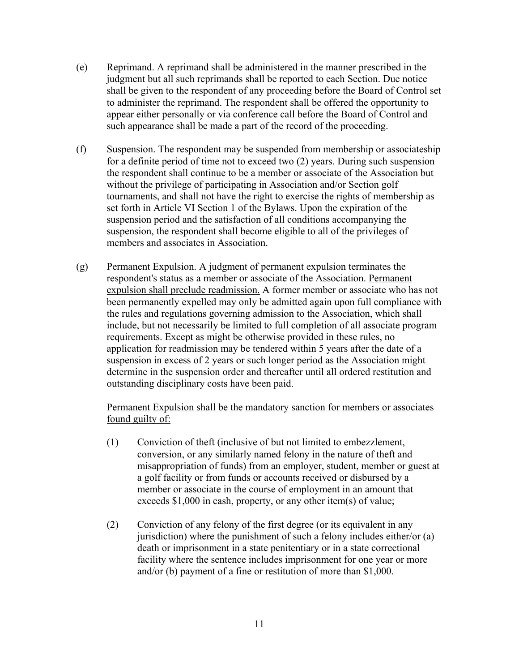- (e) Reprimand. A reprimand shall be administered in the manner prescribed in the judgment but all such reprimands shall be reported to each Section. Due notice shall be given to the respondent of any proceeding before the Board of Control set to administer the reprimand. The respondent shall be offered the opportunity to appear either personally or via conference call before the Board of Control and such appearance shall be made a part of the record of the proceeding.
- (f) Suspension. The respondent may be suspended from membership or associateship for a definite period of time not to exceed two (2) years. During such suspension the respondent shall continue to be a member or associate of the Association but without the privilege of participating in Association and/or Section golf tournaments, and shall not have the right to exercise the rights of membership as set forth in Article VI Section 1 of the Bylaws. Upon the expiration of the suspension period and the satisfaction of all conditions accompanying the suspension, the respondent shall become eligible to all of the privileges of members and associates in Association.
- (g) Permanent Expulsion. A judgment of permanent expulsion terminates the respondent's status as a member or associate of the Association. Permanent expulsion shall preclude readmission. A former member or associate who has not been permanently expelled may only be admitted again upon full compliance with the rules and regulations governing admission to the Association, which shall include, but not necessarily be limited to full completion of all associate program requirements. Except as might be otherwise provided in these rules, no application for readmission may be tendered within 5 years after the date of a suspension in excess of 2 years or such longer period as the Association might determine in the suspension order and thereafter until all ordered restitution and outstanding disciplinary costs have been paid.

### Permanent Expulsion shall be the mandatory sanction for members or associates found guilty of:

- (1)Conviction of theft (inclusive of but not limited to embezzlement, conversion, or any similarly named felony in the nature of theft and misappropriation of funds) from an employer, student, member or guest at a golf facility or from funds or accounts received or disbursed by a member or associate in the course of employment in an amount that exceeds \$1,000 in cash, property, or any other item(s) of value;
- (2) Conviction of any felony of the first degree (or its equivalent in any jurisdiction) where the punishment of such a felony includes either/or (a) death or imprisonment in a state penitentiary or in a state correctional facility where the sentence includes imprisonment for one year or more and/or (b) payment of a fine or restitution of more than \$1,000.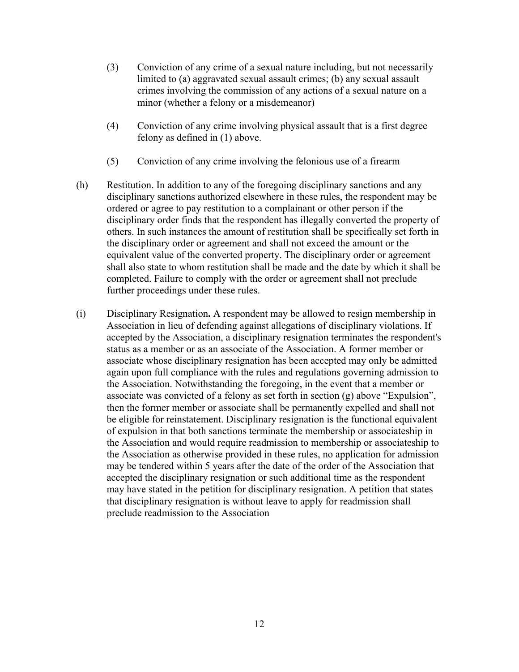- (3) Conviction of any crime of a sexual nature including, but not necessarily limited to (a) aggravated sexual assault crimes; (b) any sexual assault crimes involving the commission of any actions of a sexual nature on a minor (whether a felony or a misdemeanor)
- (4) Conviction of any crime involving physical assault that is a first degree felony as defined in (1) above.
- (5) Conviction of any crime involving the felonious use of a firearm
- (h) Restitution. In addition to any of the foregoing disciplinary sanctions and any disciplinary sanctions authorized elsewhere in these rules, the respondent may be ordered or agree to pay restitution to a complainant or other person if the disciplinary order finds that the respondent has illegally converted the property of others. In such instances the amount of restitution shall be specifically set forth in the disciplinary order or agreement and shall not exceed the amount or the equivalent value of the converted property. The disciplinary order or agreement shall also state to whom restitution shall be made and the date by which it shall be completed. Failure to comply with the order or agreement shall not preclude further proceedings under these rules.
- (i) Disciplinary Resignation**.** A respondent may be allowed to resign membership in Association in lieu of defending against allegations of disciplinary violations. If accepted by the Association, a disciplinary resignation terminates the respondent's status as a member or as an associate of the Association. A former member or associate whose disciplinary resignation has been accepted may only be admitted again upon full compliance with the rules and regulations governing admission to the Association. Notwithstanding the foregoing, in the event that a member or associate was convicted of a felony as set forth in section (g) above "Expulsion", then the former member or associate shall be permanently expelled and shall not be eligible for reinstatement. Disciplinary resignation is the functional equivalent of expulsion in that both sanctions terminate the membership or associateship in the Association and would require readmission to membership or associateship to the Association as otherwise provided in these rules, no application for admission may be tendered within 5 years after the date of the order of the Association that accepted the disciplinary resignation or such additional time as the respondent may have stated in the petition for disciplinary resignation. A petition that states that disciplinary resignation is without leave to apply for readmission shall preclude readmission to the Association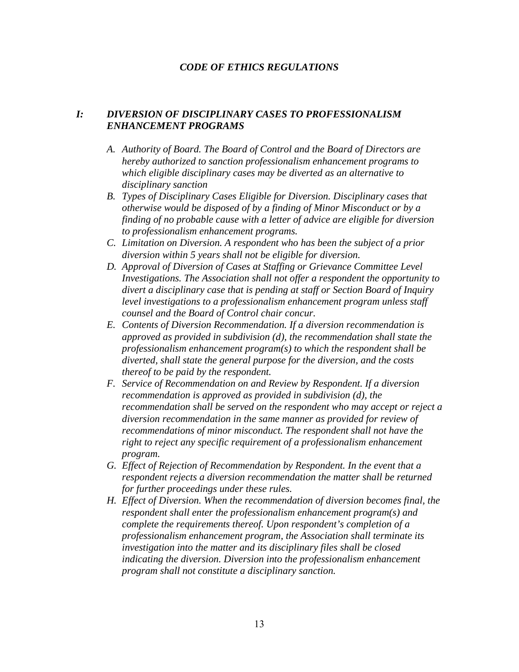### *CODE OF ETHICS REGULATIONS*

## *I: DIVERSION OF DISCIPLINARY CASES TO PROFESSIONALISM ENHANCEMENT PROGRAMS*

- *A. Authority of Board. The Board of Control and the Board of Directors are hereby authorized to sanction professionalism enhancement programs to which eligible disciplinary cases may be diverted as an alternative to disciplinary sanction*
- *B. Types of Disciplinary Cases Eligible for Diversion. Disciplinary cases that otherwise would be disposed of by a finding of Minor Misconduct or by a finding of no probable cause with a letter of advice are eligible for diversion to professionalism enhancement programs.*
- *C. Limitation on Diversion. A respondent who has been the subject of a prior diversion within 5 years shall not be eligible for diversion.*
- *D. Approval of Diversion of Cases at Staffing or Grievance Committee Level Investigations. The Association shall not offer a respondent the opportunity to divert a disciplinary case that is pending at staff or Section Board of Inquiry level investigations to a professionalism enhancement program unless staff counsel and the Board of Control chair concur.*
- *E. Contents of Diversion Recommendation. If a diversion recommendation is approved as provided in subdivision (d), the recommendation shall state the professionalism enhancement program(s) to which the respondent shall be diverted, shall state the general purpose for the diversion, and the costs thereof to be paid by the respondent.*
- *F. Service of Recommendation on and Review by Respondent. If a diversion recommendation is approved as provided in subdivision (d), the recommendation shall be served on the respondent who may accept or reject a diversion recommendation in the same manner as provided for review of recommendations of minor misconduct. The respondent shall not have the right to reject any specific requirement of a professionalism enhancement program.*
- *G. Effect of Rejection of Recommendation by Respondent. In the event that a respondent rejects a diversion recommendation the matter shall be returned for further proceedings under these rules.*
- *H. Effect of Diversion. When the recommendation of diversion becomes final, the respondent shall enter the professionalism enhancement program(s) and complete the requirements thereof. Upon respondent's completion of a professionalism enhancement program, the Association shall terminate its investigation into the matter and its disciplinary files shall be closed indicating the diversion. Diversion into the professionalism enhancement program shall not constitute a disciplinary sanction.*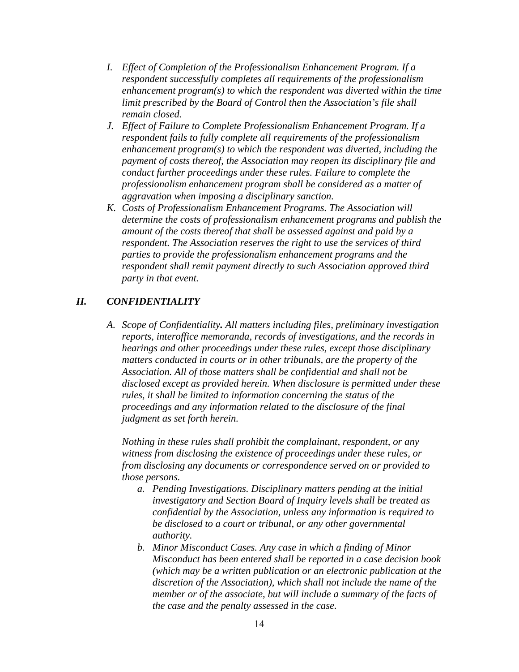- *I. Effect of Completion of the Professionalism Enhancement Program. If a respondent successfully completes all requirements of the professionalism enhancement program(s) to which the respondent was diverted within the time limit prescribed by the Board of Control then the Association's file shall remain closed.*
- *J. Effect of Failure to Complete Professionalism Enhancement Program. If a respondent fails to fully complete all requirements of the professionalism enhancement program(s) to which the respondent was diverted, including the payment of costs thereof, the Association may reopen its disciplinary file and conduct further proceedings under these rules. Failure to complete the professionalism enhancement program shall be considered as a matter of aggravation when imposing a disciplinary sanction.*
- *K. Costs of Professionalism Enhancement Programs. The Association will determine the costs of professionalism enhancement programs and publish the amount of the costs thereof that shall be assessed against and paid by a respondent. The Association reserves the right to use the services of third parties to provide the professionalism enhancement programs and the respondent shall remit payment directly to such Association approved third party in that event.*

### *II. CONFIDENTIALITY*

*A. Scope of Confidentiality. All matters including files, preliminary investigation reports, interoffice memoranda, records of investigations, and the records in hearings and other proceedings under these rules, except those disciplinary matters conducted in courts or in other tribunals, are the property of the Association. All of those matters shall be confidential and shall not be disclosed except as provided herein. When disclosure is permitted under these rules, it shall be limited to information concerning the status of the proceedings and any information related to the disclosure of the final judgment as set forth herein.* 

*Nothing in these rules shall prohibit the complainant, respondent, or any witness from disclosing the existence of proceedings under these rules, or from disclosing any documents or correspondence served on or provided to those persons.* 

- *a. Pending Investigations. Disciplinary matters pending at the initial investigatory and Section Board of Inquiry levels shall be treated as confidential by the Association, unless any information is required to be disclosed to a court or tribunal, or any other governmental authority.*
- *b. Minor Misconduct Cases. Any case in which a finding of Minor Misconduct has been entered shall be reported in a case decision book (which may be a written publication or an electronic publication at the discretion of the Association), which shall not include the name of the member or of the associate, but will include a summary of the facts of the case and the penalty assessed in the case.*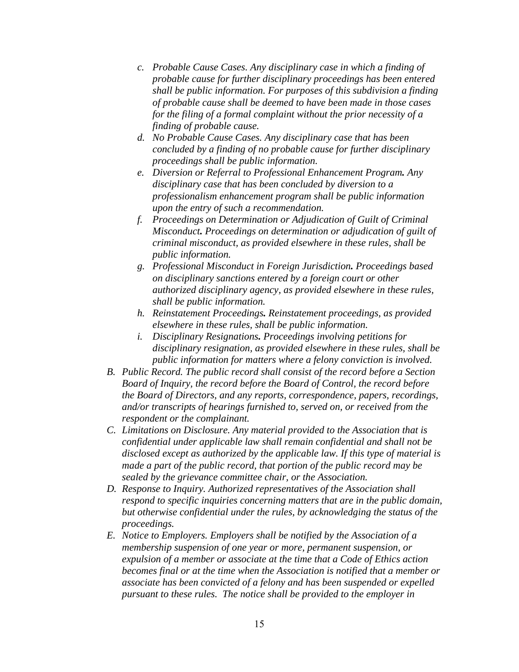- *c. Probable Cause Cases. Any disciplinary case in which a finding of probable cause for further disciplinary proceedings has been entered shall be public information. For purposes of this subdivision a finding of probable cause shall be deemed to have been made in those cases for the filing of a formal complaint without the prior necessity of a finding of probable cause.*
- *d. No Probable Cause Cases. Any disciplinary case that has been concluded by a finding of no probable cause for further disciplinary proceedings shall be public information.*
- *e. Diversion or Referral to Professional Enhancement Program. Any disciplinary case that has been concluded by diversion to a professionalism enhancement program shall be public information upon the entry of such a recommendation.*
- *f. Proceedings on Determination or Adjudication of Guilt of Criminal Misconduct. Proceedings on determination or adjudication of guilt of criminal misconduct, as provided elsewhere in these rules, shall be public information.*
- *g. Professional Misconduct in Foreign Jurisdiction. Proceedings based on disciplinary sanctions entered by a foreign court or other authorized disciplinary agency, as provided elsewhere in these rules, shall be public information.*
- *h. Reinstatement Proceedings. Reinstatement proceedings, as provided elsewhere in these rules, shall be public information.*
- *i. Disciplinary Resignations. Proceedings involving petitions for disciplinary resignation, as provided elsewhere in these rules, shall be public information for matters where a felony conviction is involved.*
- *B. Public Record. The public record shall consist of the record before a Section Board of Inquiry, the record before the Board of Control, the record before the Board of Directors, and any reports, correspondence, papers, recordings, and/or transcripts of hearings furnished to, served on, or received from the respondent or the complainant.*
- *C. Limitations on Disclosure. Any material provided to the Association that is confidential under applicable law shall remain confidential and shall not be disclosed except as authorized by the applicable law. If this type of material is made a part of the public record, that portion of the public record may be sealed by the grievance committee chair, or the Association.*
- *D. Response to Inquiry. Authorized representatives of the Association shall respond to specific inquiries concerning matters that are in the public domain, but otherwise confidential under the rules, by acknowledging the status of the proceedings.*
- *E. Notice to Employers. Employers shall be notified by the Association of a membership suspension of one year or more, permanent suspension, or expulsion of a member or associate at the time that a Code of Ethics action becomes final or at the time when the Association is notified that a member or associate has been convicted of a felony and has been suspended or expelled pursuant to these rules. The notice shall be provided to the employer in*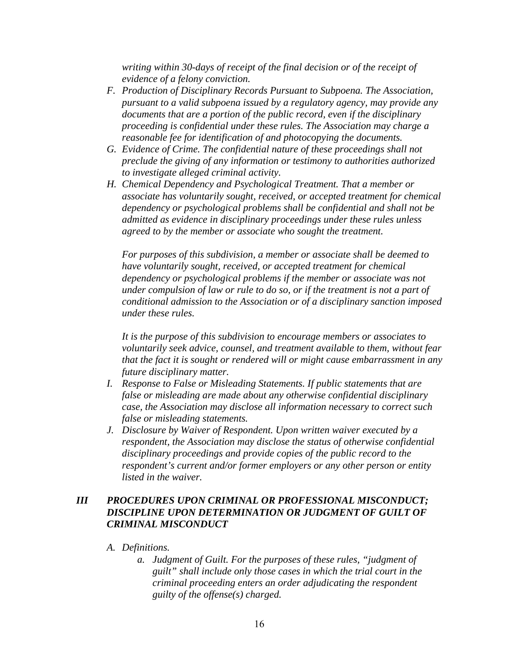*writing within 30-days of receipt of the final decision or of the receipt of evidence of a felony conviction.* 

- *F. Production of Disciplinary Records Pursuant to Subpoena. The Association, pursuant to a valid subpoena issued by a regulatory agency, may provide any documents that are a portion of the public record, even if the disciplinary proceeding is confidential under these rules. The Association may charge a reasonable fee for identification of and photocopying the documents.*
- *G. Evidence of Crime. The confidential nature of these proceedings shall not preclude the giving of any information or testimony to authorities authorized to investigate alleged criminal activity.*
- *H. Chemical Dependency and Psychological Treatment. That a member or associate has voluntarily sought, received, or accepted treatment for chemical dependency or psychological problems shall be confidential and shall not be admitted as evidence in disciplinary proceedings under these rules unless agreed to by the member or associate who sought the treatment.*

*For purposes of this subdivision, a member or associate shall be deemed to have voluntarily sought, received, or accepted treatment for chemical dependency or psychological problems if the member or associate was not under compulsion of law or rule to do so, or if the treatment is not a part of conditional admission to the Association or of a disciplinary sanction imposed under these rules.* 

*It is the purpose of this subdivision to encourage members or associates to voluntarily seek advice, counsel, and treatment available to them, without fear that the fact it is sought or rendered will or might cause embarrassment in any future disciplinary matter.* 

- *I. Response to False or Misleading Statements. If public statements that are false or misleading are made about any otherwise confidential disciplinary case, the Association may disclose all information necessary to correct such false or misleading statements.*
- *J. Disclosure by Waiver of Respondent. Upon written waiver executed by a respondent, the Association may disclose the status of otherwise confidential disciplinary proceedings and provide copies of the public record to the respondent's current and/or former employers or any other person or entity listed in the waiver.*

## *III PROCEDURES UPON CRIMINAL OR PROFESSIONAL MISCONDUCT; DISCIPLINE UPON DETERMINATION OR JUDGMENT OF GUILT OF CRIMINAL MISCONDUCT*

### *A. Definitions.*

*a. Judgment of Guilt. For the purposes of these rules, "judgment of guilt" shall include only those cases in which the trial court in the criminal proceeding enters an order adjudicating the respondent guilty of the offense(s) charged.*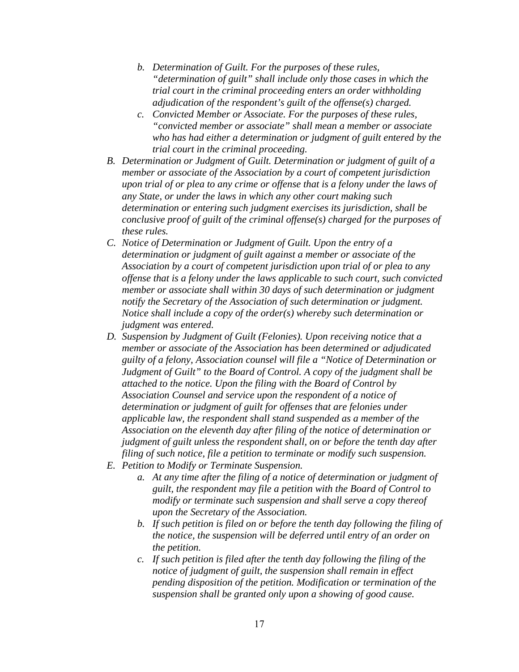- *b. Determination of Guilt. For the purposes of these rules, "determination of guilt" shall include only those cases in which the trial court in the criminal proceeding enters an order withholding adjudication of the respondent's guilt of the offense(s) charged.*
- *c. Convicted Member or Associate. For the purposes of these rules, "convicted member or associate" shall mean a member or associate who has had either a determination or judgment of guilt entered by the trial court in the criminal proceeding.*
- *B. Determination or Judgment of Guilt. Determination or judgment of guilt of a member or associate of the Association by a court of competent jurisdiction upon trial of or plea to any crime or offense that is a felony under the laws of any State, or under the laws in which any other court making such determination or entering such judgment exercises its jurisdiction, shall be conclusive proof of guilt of the criminal offense(s) charged for the purposes of these rules.*
- *C. Notice of Determination or Judgment of Guilt. Upon the entry of a determination or judgment of guilt against a member or associate of the Association by a court of competent jurisdiction upon trial of or plea to any offense that is a felony under the laws applicable to such court, such convicted member or associate shall within 30 days of such determination or judgment notify the Secretary of the Association of such determination or judgment. Notice shall include a copy of the order(s) whereby such determination or judgment was entered.*
- *D. Suspension by Judgment of Guilt (Felonies). Upon receiving notice that a member or associate of the Association has been determined or adjudicated guilty of a felony, Association counsel will file a "Notice of Determination or Judgment of Guilt" to the Board of Control. A copy of the judgment shall be attached to the notice. Upon the filing with the Board of Control by Association Counsel and service upon the respondent of a notice of determination or judgment of guilt for offenses that are felonies under applicable law, the respondent shall stand suspended as a member of the Association on the eleventh day after filing of the notice of determination or judgment of guilt unless the respondent shall, on or before the tenth day after filing of such notice, file a petition to terminate or modify such suspension.*
- *E. Petition to Modify or Terminate Suspension.* 
	- *a. At any time after the filing of a notice of determination or judgment of guilt, the respondent may file a petition with the Board of Control to modify or terminate such suspension and shall serve a copy thereof upon the Secretary of the Association.*
	- *b. If such petition is filed on or before the tenth day following the filing of the notice, the suspension will be deferred until entry of an order on the petition.*
	- *c. If such petition is filed after the tenth day following the filing of the notice of judgment of guilt, the suspension shall remain in effect pending disposition of the petition. Modification or termination of the suspension shall be granted only upon a showing of good cause.*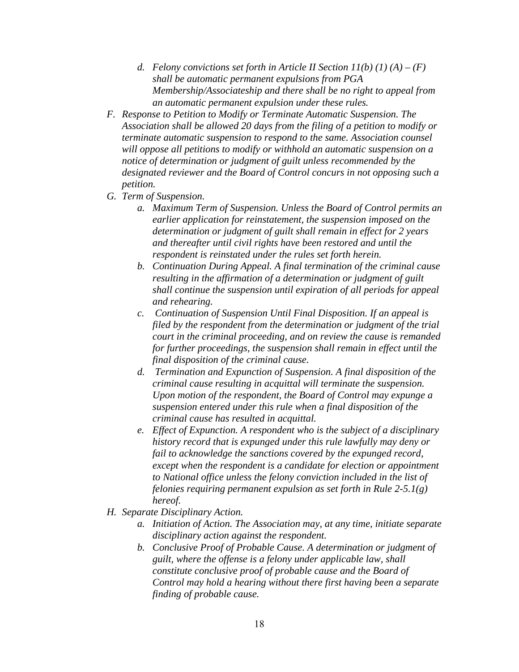- *d. Felony convictions set forth in Article II Section 11(b) (1) (A) (F) shall be automatic permanent expulsions from PGA Membership/Associateship and there shall be no right to appeal from an automatic permanent expulsion under these rules.*
- *F. Response to Petition to Modify or Terminate Automatic Suspension. The Association shall be allowed 20 days from the filing of a petition to modify or terminate automatic suspension to respond to the same. Association counsel will oppose all petitions to modify or withhold an automatic suspension on a notice of determination or judgment of guilt unless recommended by the designated reviewer and the Board of Control concurs in not opposing such a petition.*
- *G. Term of Suspension.* 
	- *a. Maximum Term of Suspension. Unless the Board of Control permits an earlier application for reinstatement, the suspension imposed on the determination or judgment of guilt shall remain in effect for 2 years and thereafter until civil rights have been restored and until the respondent is reinstated under the rules set forth herein.*
	- *b. Continuation During Appeal. A final termination of the criminal cause resulting in the affirmation of a determination or judgment of guilt shall continue the suspension until expiration of all periods for appeal and rehearing.*
	- *c. Continuation of Suspension Until Final Disposition. If an appeal is filed by the respondent from the determination or judgment of the trial court in the criminal proceeding, and on review the cause is remanded for further proceedings, the suspension shall remain in effect until the final disposition of the criminal cause.*
	- *d. Termination and Expunction of Suspension. A final disposition of the criminal cause resulting in acquittal will terminate the suspension. Upon motion of the respondent, the Board of Control may expunge a suspension entered under this rule when a final disposition of the criminal cause has resulted in acquittal.*
	- *e. Effect of Expunction. A respondent who is the subject of a disciplinary history record that is expunged under this rule lawfully may deny or fail to acknowledge the sanctions covered by the expunged record, except when the respondent is a candidate for election or appointment to National office unless the felony conviction included in the list of felonies requiring permanent expulsion as set forth in Rule 2-5.1(g) hereof.*
- *H. Separate Disciplinary Action.* 
	- *a. Initiation of Action. The Association may, at any time, initiate separate disciplinary action against the respondent.*
	- *b. Conclusive Proof of Probable Cause. A determination or judgment of guilt, where the offense is a felony under applicable law, shall constitute conclusive proof of probable cause and the Board of Control may hold a hearing without there first having been a separate finding of probable cause.*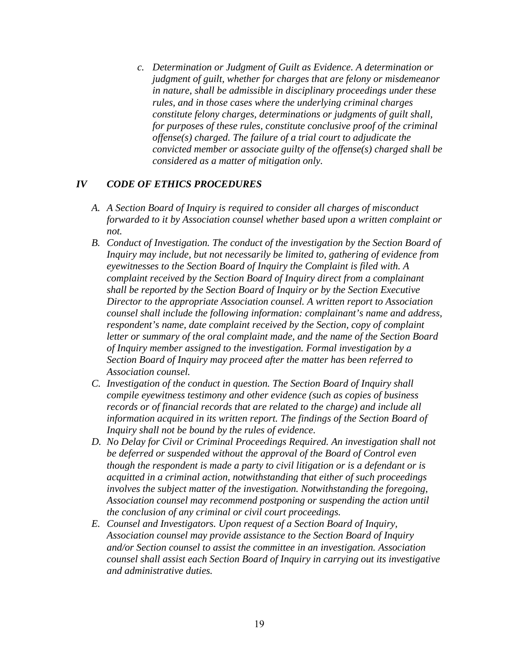*c. Determination or Judgment of Guilt as Evidence. A determination or judgment of guilt, whether for charges that are felony or misdemeanor in nature, shall be admissible in disciplinary proceedings under these rules, and in those cases where the underlying criminal charges constitute felony charges, determinations or judgments of guilt shall, for purposes of these rules, constitute conclusive proof of the criminal offense(s) charged. The failure of a trial court to adjudicate the convicted member or associate guilty of the offense(s) charged shall be considered as a matter of mitigation only.* 

#### *IV CODE OF ETHICS PROCEDURES*

- *A. A Section Board of Inquiry is required to consider all charges of misconduct forwarded to it by Association counsel whether based upon a written complaint or not.*
- *B. Conduct of Investigation. The conduct of the investigation by the Section Board of Inquiry may include, but not necessarily be limited to, gathering of evidence from eyewitnesses to the Section Board of Inquiry the Complaint is filed with. A complaint received by the Section Board of Inquiry direct from a complainant shall be reported by the Section Board of Inquiry or by the Section Executive Director to the appropriate Association counsel. A written report to Association counsel shall include the following information: complainant's name and address, respondent's name, date complaint received by the Section, copy of complaint letter or summary of the oral complaint made, and the name of the Section Board of Inquiry member assigned to the investigation. Formal investigation by a Section Board of Inquiry may proceed after the matter has been referred to Association counsel.*
- *C. Investigation of the conduct in question. The Section Board of Inquiry shall compile eyewitness testimony and other evidence (such as copies of business records or of financial records that are related to the charge) and include all information acquired in its written report. The findings of the Section Board of Inquiry shall not be bound by the rules of evidence.*
- *D. No Delay for Civil or Criminal Proceedings Required. An investigation shall not be deferred or suspended without the approval of the Board of Control even though the respondent is made a party to civil litigation or is a defendant or is acquitted in a criminal action, notwithstanding that either of such proceedings involves the subject matter of the investigation. Notwithstanding the foregoing, Association counsel may recommend postponing or suspending the action until the conclusion of any criminal or civil court proceedings.*
- *E. Counsel and Investigators. Upon request of a Section Board of Inquiry, Association counsel may provide assistance to the Section Board of Inquiry and/or Section counsel to assist the committee in an investigation. Association counsel shall assist each Section Board of Inquiry in carrying out its investigative and administrative duties.*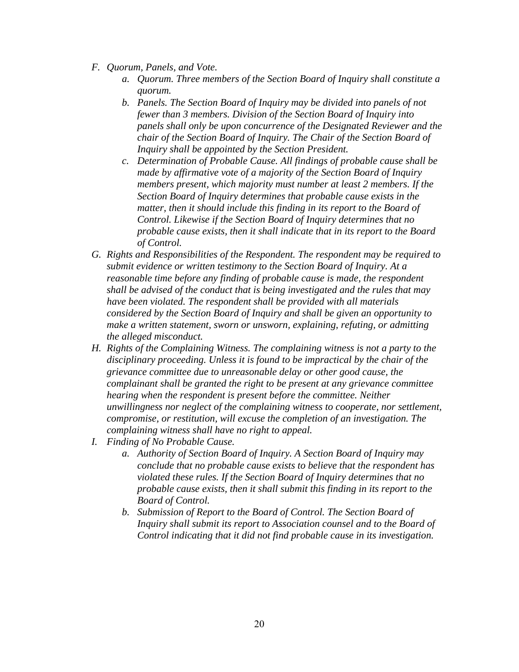- *F. Quorum, Panels, and Vote.* 
	- *a. Quorum. Three members of the Section Board of Inquiry shall constitute a quorum.*
	- *b. Panels. The Section Board of Inquiry may be divided into panels of not fewer than 3 members. Division of the Section Board of Inquiry into panels shall only be upon concurrence of the Designated Reviewer and the chair of the Section Board of Inquiry. The Chair of the Section Board of Inquiry shall be appointed by the Section President.*
	- *c. Determination of Probable Cause. All findings of probable cause shall be made by affirmative vote of a majority of the Section Board of Inquiry members present, which majority must number at least 2 members. If the Section Board of Inquiry determines that probable cause exists in the matter, then it should include this finding in its report to the Board of Control. Likewise if the Section Board of Inquiry determines that no probable cause exists, then it shall indicate that in its report to the Board of Control.*
- *G. Rights and Responsibilities of the Respondent. The respondent may be required to submit evidence or written testimony to the Section Board of Inquiry. At a reasonable time before any finding of probable cause is made, the respondent shall be advised of the conduct that is being investigated and the rules that may have been violated. The respondent shall be provided with all materials considered by the Section Board of Inquiry and shall be given an opportunity to make a written statement, sworn or unsworn, explaining, refuting, or admitting the alleged misconduct.*
- *H. Rights of the Complaining Witness. The complaining witness is not a party to the disciplinary proceeding. Unless it is found to be impractical by the chair of the grievance committee due to unreasonable delay or other good cause, the complainant shall be granted the right to be present at any grievance committee hearing when the respondent is present before the committee. Neither unwillingness nor neglect of the complaining witness to cooperate, nor settlement, compromise, or restitution, will excuse the completion of an investigation. The complaining witness shall have no right to appeal.*
- *I. Finding of No Probable Cause.* 
	- *a. Authority of Section Board of Inquiry. A Section Board of Inquiry may conclude that no probable cause exists to believe that the respondent has violated these rules. If the Section Board of Inquiry determines that no probable cause exists, then it shall submit this finding in its report to the Board of Control.*
	- *b. Submission of Report to the Board of Control. The Section Board of Inquiry shall submit its report to Association counsel and to the Board of Control indicating that it did not find probable cause in its investigation.*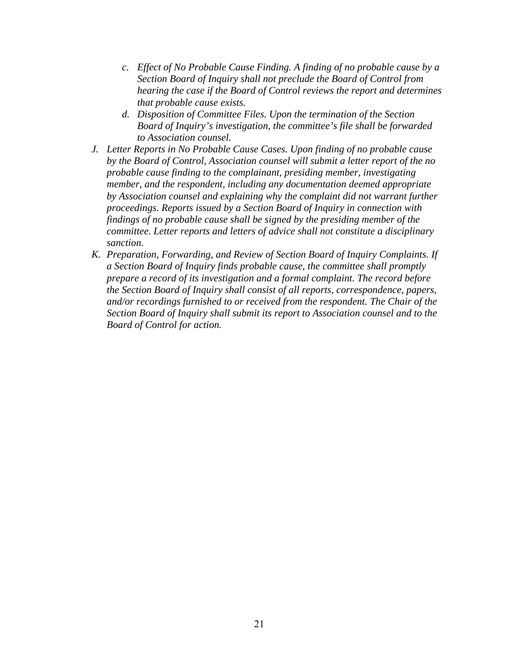- *c. Effect of No Probable Cause Finding. A finding of no probable cause by a Section Board of Inquiry shall not preclude the Board of Control from hearing the case if the Board of Control reviews the report and determines that probable cause exists.*
- *d. Disposition of Committee Files. Upon the termination of the Section Board of Inquiry's investigation, the committee's file shall be forwarded to Association counsel.*
- *J. Letter Reports in No Probable Cause Cases. Upon finding of no probable cause by the Board of Control, Association counsel will submit a letter report of the no probable cause finding to the complainant, presiding member, investigating member, and the respondent, including any documentation deemed appropriate by Association counsel and explaining why the complaint did not warrant further proceedings. Reports issued by a Section Board of Inquiry in connection with findings of no probable cause shall be signed by the presiding member of the committee. Letter reports and letters of advice shall not constitute a disciplinary sanction.*
- *K. Preparation, Forwarding, and Review of Section Board of Inquiry Complaints. If a Section Board of Inquiry finds probable cause, the committee shall promptly prepare a record of its investigation and a formal complaint. The record before the Section Board of Inquiry shall consist of all reports, correspondence, papers, and/or recordings furnished to or received from the respondent. The Chair of the Section Board of Inquiry shall submit its report to Association counsel and to the Board of Control for action.*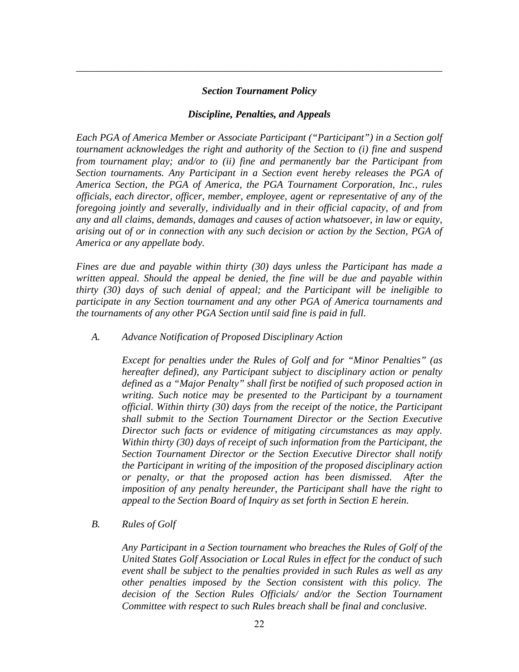#### *Section Tournament Policy*

*\_\_\_\_\_\_\_\_\_\_\_\_\_\_\_\_\_\_\_\_\_\_\_\_\_\_\_\_\_\_\_\_\_\_\_\_\_\_\_\_\_\_\_\_\_\_\_\_\_\_\_\_\_\_\_\_\_\_\_\_\_\_\_\_\_\_\_\_\_\_\_\_* 

#### *Discipline, Penalties, and Appeals*

*Each PGA of America Member or Associate Participant ("Participant") in a Section golf tournament acknowledges the right and authority of the Section to (i) fine and suspend from tournament play; and/or to (ii) fine and permanently bar the Participant from Section tournaments. Any Participant in a Section event hereby releases the PGA of America Section, the PGA of America, the PGA Tournament Corporation, Inc., rules officials, each director, officer, member, employee, agent or representative of any of the foregoing jointly and severally, individually and in their official capacity, of and from any and all claims, demands, damages and causes of action whatsoever, in law or equity, arising out of or in connection with any such decision or action by the Section, PGA of America or any appellate body.* 

*Fines are due and payable within thirty (30) days unless the Participant has made a written appeal. Should the appeal be denied, the fine will be due and payable within thirty (30) days of such denial of appeal; and the Participant will be ineligible to participate in any Section tournament and any other PGA of America tournaments and the tournaments of any other PGA Section until said fine is paid in full.* 

*A. Advance Notification of Proposed Disciplinary Action* 

*Except for penalties under the Rules of Golf and for "Minor Penalties" (as hereafter defined), any Participant subject to disciplinary action or penalty defined as a "Major Penalty" shall first be notified of such proposed action in writing. Such notice may be presented to the Participant by a tournament official. Within thirty (30) days from the receipt of the notice, the Participant shall submit to the Section Tournament Director or the Section Executive Director such facts or evidence of mitigating circumstances as may apply. Within thirty (30) days of receipt of such information from the Participant, the Section Tournament Director or the Section Executive Director shall notify the Participant in writing of the imposition of the proposed disciplinary action or penalty, or that the proposed action has been dismissed. After the imposition of any penalty hereunder, the Participant shall have the right to appeal to the Section Board of Inquiry as set forth in Section E herein.* 

*B. Rules of Golf* 

*Any Participant in a Section tournament who breaches the Rules of Golf of the United States Golf Association or Local Rules in effect for the conduct of such event shall be subject to the penalties provided in such Rules as well as any other penalties imposed by the Section consistent with this policy. The decision of the Section Rules Officials/ and/or the Section Tournament Committee with respect to such Rules breach shall be final and conclusive.*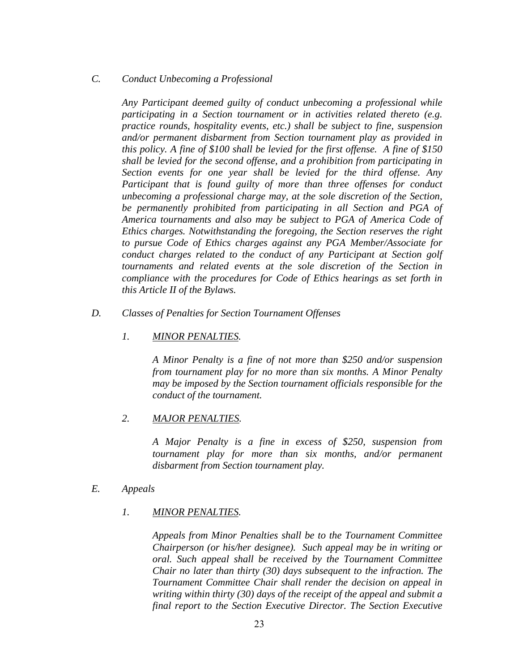### *C. Conduct Unbecoming a Professional*

*Any Participant deemed guilty of conduct unbecoming a professional while participating in a Section tournament or in activities related thereto (e.g. practice rounds, hospitality events, etc.) shall be subject to fine, suspension and/or permanent disbarment from Section tournament play as provided in this policy. A fine of \$100 shall be levied for the first offense. A fine of \$150 shall be levied for the second offense, and a prohibition from participating in Section events for one year shall be levied for the third offense. Any Participant that is found guilty of more than three offenses for conduct unbecoming a professional charge may, at the sole discretion of the Section, be permanently prohibited from participating in all Section and PGA of America tournaments and also may be subject to PGA of America Code of Ethics charges. Notwithstanding the foregoing, the Section reserves the right to pursue Code of Ethics charges against any PGA Member/Associate for conduct charges related to the conduct of any Participant at Section golf tournaments and related events at the sole discretion of the Section in compliance with the procedures for Code of Ethics hearings as set forth in this Article II of the Bylaws.* 

*D. Classes of Penalties for Section Tournament Offenses* 

## *1. MINOR PENALTIES.*

*A Minor Penalty is a fine of not more than \$250 and/or suspension from tournament play for no more than six months. A Minor Penalty may be imposed by the Section tournament officials responsible for the conduct of the tournament.* 

### *2. MAJOR PENALTIES.*

*A Major Penalty is a fine in excess of \$250, suspension from tournament play for more than six months, and/or permanent disbarment from Section tournament play.* 

#### *E. Appeals*

### *1. MINOR PENALTIES.*

*Appeals from Minor Penalties shall be to the Tournament Committee Chairperson (or his/her designee). Such appeal may be in writing or oral. Such appeal shall be received by the Tournament Committee Chair no later than thirty (30) days subsequent to the infraction. The Tournament Committee Chair shall render the decision on appeal in writing within thirty (30) days of the receipt of the appeal and submit a final report to the Section Executive Director. The Section Executive*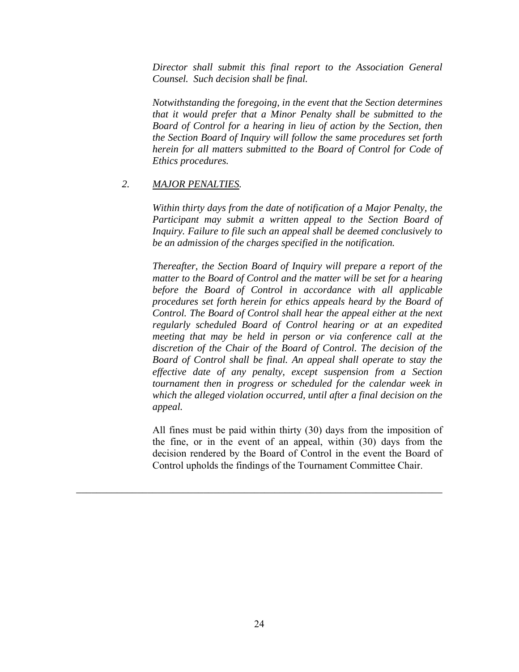*Director shall submit this final report to the Association General Counsel. Such decision shall be final.* 

*Notwithstanding the foregoing, in the event that the Section determines that it would prefer that a Minor Penalty shall be submitted to the Board of Control for a hearing in lieu of action by the Section, then the Section Board of Inquiry will follow the same procedures set forth herein for all matters submitted to the Board of Control for Code of Ethics procedures.* 

#### *2. MAJOR PENALTIES.*

*Within thirty days from the date of notification of a Major Penalty, the*  Participant may submit a written appeal to the Section Board of *Inquiry. Failure to file such an appeal shall be deemed conclusively to be an admission of the charges specified in the notification.* 

*Thereafter, the Section Board of Inquiry will prepare a report of the matter to the Board of Control and the matter will be set for a hearing before the Board of Control in accordance with all applicable procedures set forth herein for ethics appeals heard by the Board of Control. The Board of Control shall hear the appeal either at the next regularly scheduled Board of Control hearing or at an expedited meeting that may be held in person or via conference call at the discretion of the Chair of the Board of Control. The decision of the Board of Control shall be final. An appeal shall operate to stay the effective date of any penalty, except suspension from a Section tournament then in progress or scheduled for the calendar week in which the alleged violation occurred, until after a final decision on the appeal.* 

All fines must be paid within thirty (30) days from the imposition of the fine, or in the event of an appeal, within (30) days from the decision rendered by the Board of Control in the event the Board of Control upholds the findings of the Tournament Committee Chair.

*\_\_\_\_\_\_\_\_\_\_\_\_\_\_\_\_\_\_\_\_\_\_\_\_\_\_\_\_\_\_\_\_\_\_\_\_\_\_\_\_\_\_\_\_\_\_\_\_\_\_\_\_\_\_\_\_\_\_\_\_\_\_\_\_\_\_\_\_\_\_\_\_*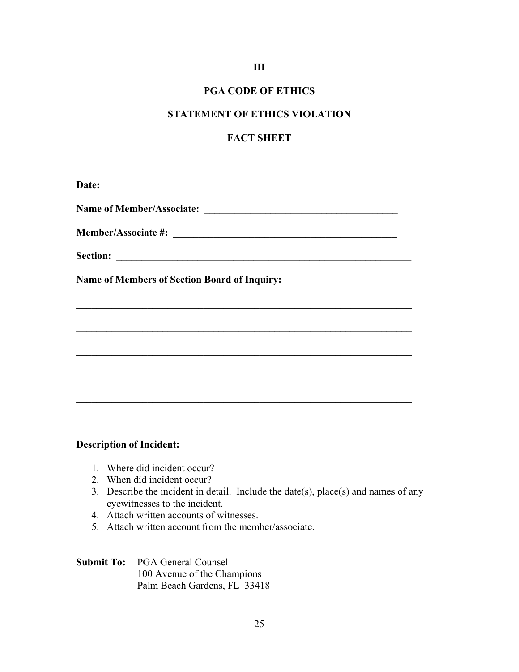## **III**

## **PGA CODE OF ETHICS**

## **STATEMENT OF ETHICS VIOLATION**

## **FACT SHEET**

**\_\_\_\_\_\_\_\_\_\_\_\_\_\_\_\_\_\_\_\_\_\_\_\_\_\_\_\_\_\_\_\_\_\_\_\_\_\_\_\_\_\_\_\_\_\_\_\_\_\_\_\_\_\_\_\_\_\_\_\_\_\_\_\_\_\_** 

**\_\_\_\_\_\_\_\_\_\_\_\_\_\_\_\_\_\_\_\_\_\_\_\_\_\_\_\_\_\_\_\_\_\_\_\_\_\_\_\_\_\_\_\_\_\_\_\_\_\_\_\_\_\_\_\_\_\_\_\_\_\_\_\_\_\_** 

 $\mathcal{L} = \{ \mathcal{L} \mathcal{L} \mathcal{L} \mathcal{L} \mathcal{L} \mathcal{L} \mathcal{L} \mathcal{L} \mathcal{L} \mathcal{L} \mathcal{L} \mathcal{L} \mathcal{L} \mathcal{L} \mathcal{L} \mathcal{L} \mathcal{L} \mathcal{L} \mathcal{L} \mathcal{L} \mathcal{L} \mathcal{L} \mathcal{L} \mathcal{L} \mathcal{L} \mathcal{L} \mathcal{L} \mathcal{L} \mathcal{L} \mathcal{L} \mathcal{L} \mathcal{L} \mathcal{L} \mathcal{L} \mathcal{L} \$ 

 $\mathcal{L} = \{ \mathcal{L} \mathcal{L} \mathcal{L} \mathcal{L} \mathcal{L} \mathcal{L} \mathcal{L} \mathcal{L} \mathcal{L} \mathcal{L} \mathcal{L} \mathcal{L} \mathcal{L} \mathcal{L} \mathcal{L} \mathcal{L} \mathcal{L} \mathcal{L} \mathcal{L} \mathcal{L} \mathcal{L} \mathcal{L} \mathcal{L} \mathcal{L} \mathcal{L} \mathcal{L} \mathcal{L} \mathcal{L} \mathcal{L} \mathcal{L} \mathcal{L} \mathcal{L} \mathcal{L} \mathcal{L} \mathcal{L} \$ 

 $\mathcal{L} = \{ \mathcal{L} \mathcal{L} \mathcal{L} \mathcal{L} \mathcal{L} \mathcal{L} \mathcal{L} \mathcal{L} \mathcal{L} \mathcal{L} \mathcal{L} \mathcal{L} \mathcal{L} \mathcal{L} \mathcal{L} \mathcal{L} \mathcal{L} \mathcal{L} \mathcal{L} \mathcal{L} \mathcal{L} \mathcal{L} \mathcal{L} \mathcal{L} \mathcal{L} \mathcal{L} \mathcal{L} \mathcal{L} \mathcal{L} \mathcal{L} \mathcal{L} \mathcal{L} \mathcal{L} \mathcal{L} \mathcal{L} \$ 

**\_\_\_\_\_\_\_\_\_\_\_\_\_\_\_\_\_\_\_\_\_\_\_\_\_\_\_\_\_\_\_\_\_\_\_\_\_\_\_\_\_\_\_\_\_\_\_\_\_\_\_\_\_\_\_\_\_\_\_\_\_\_\_\_\_\_** 

**Date: \_\_\_\_\_\_\_\_\_\_\_\_\_\_\_\_\_\_\_** 

Name of Member/Associate:

**Member/Associate #: \_\_\_\_\_\_\_\_\_\_\_\_\_\_\_\_\_\_\_\_\_\_\_\_\_\_\_\_\_\_\_\_\_\_\_\_\_\_\_\_\_\_\_\_** 

**Section: \_\_\_\_\_\_\_\_\_\_\_\_\_\_\_\_\_\_\_\_\_\_\_\_\_\_\_\_\_\_\_\_\_\_\_\_\_\_\_\_\_\_\_\_\_\_\_\_\_\_\_\_\_\_\_\_\_\_** 

**Name of Members of Section Board of Inquiry:** 

### **Description of Incident:**

- 1. Where did incident occur?
- 2. When did incident occur?
- 3. Describe the incident in detail. Include the date(s), place(s) and names of any eyewitnesses to the incident.
- 4. Attach written accounts of witnesses.
- 5. Attach written account from the member/associate.

## **Submit To:** PGA General Counsel 100 Avenue of the Champions Palm Beach Gardens, FL 33418